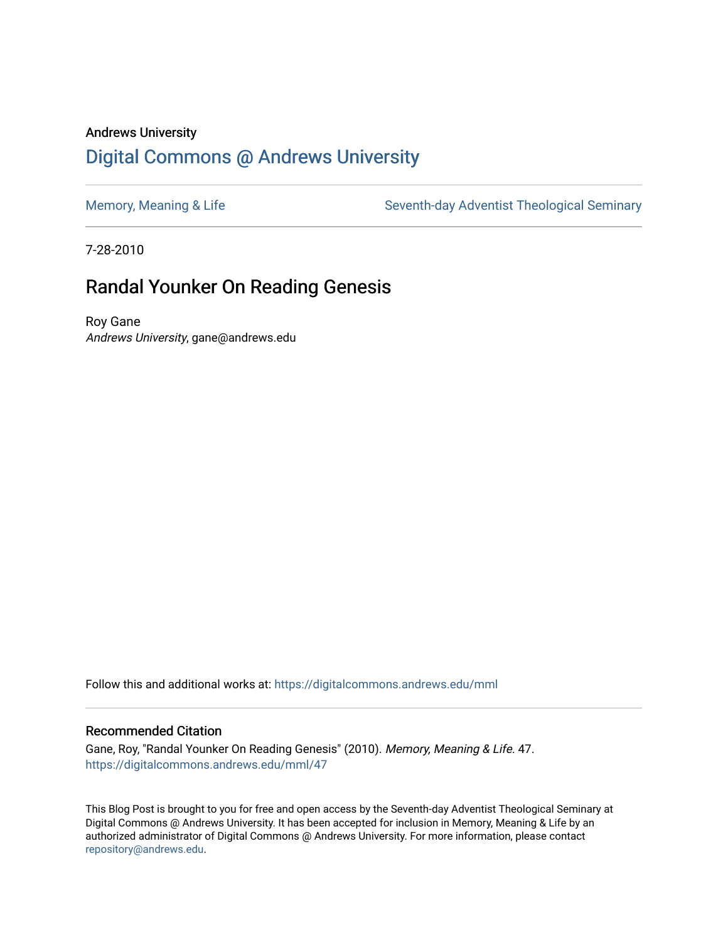## Andrews University [Digital Commons @ Andrews University](https://digitalcommons.andrews.edu/)

[Memory, Meaning & Life](https://digitalcommons.andrews.edu/mml) Seventh-day Adventist Theological Seminary

7-28-2010

## Randal Younker On Reading Genesis

Roy Gane Andrews University, gane@andrews.edu

Follow this and additional works at: [https://digitalcommons.andrews.edu/mml](https://digitalcommons.andrews.edu/mml?utm_source=digitalcommons.andrews.edu%2Fmml%2F47&utm_medium=PDF&utm_campaign=PDFCoverPages) 

#### Recommended Citation

Gane, Roy, "Randal Younker On Reading Genesis" (2010). Memory, Meaning & Life. 47. [https://digitalcommons.andrews.edu/mml/47](https://digitalcommons.andrews.edu/mml/47?utm_source=digitalcommons.andrews.edu%2Fmml%2F47&utm_medium=PDF&utm_campaign=PDFCoverPages)

This Blog Post is brought to you for free and open access by the Seventh-day Adventist Theological Seminary at Digital Commons @ Andrews University. It has been accepted for inclusion in Memory, Meaning & Life by an authorized administrator of Digital Commons @ Andrews University. For more information, please contact [repository@andrews.edu](mailto:repository@andrews.edu).